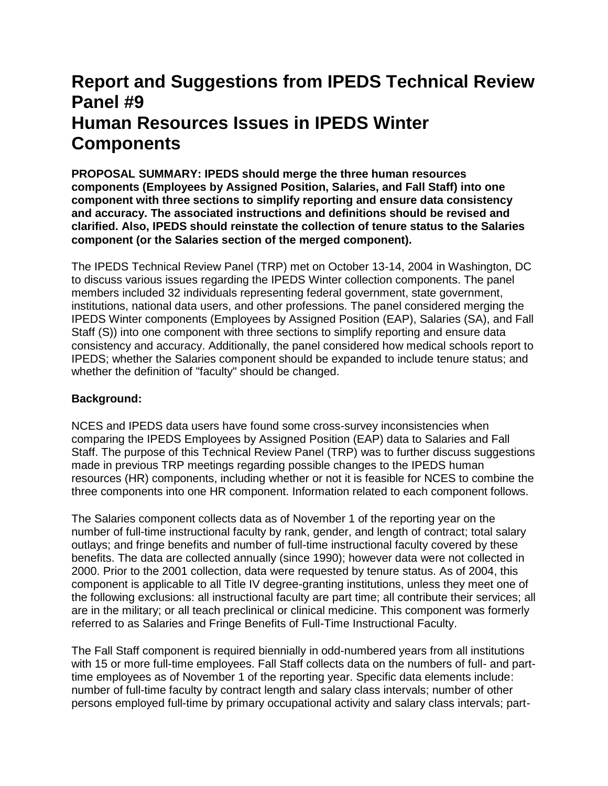# **Report and Suggestions from IPEDS Technical Review Panel #9 Human Resources Issues in IPEDS Winter Components**

**PROPOSAL SUMMARY: IPEDS should merge the three human resources components (Employees by Assigned Position, Salaries, and Fall Staff) into one component with three sections to simplify reporting and ensure data consistency and accuracy. The associated instructions and definitions should be revised and clarified. Also, IPEDS should reinstate the collection of tenure status to the Salaries component (or the Salaries section of the merged component).**

The IPEDS Technical Review Panel (TRP) met on October 13-14, 2004 in Washington, DC to discuss various issues regarding the IPEDS Winter collection components. The panel members included 32 individuals representing federal government, state government, institutions, national data users, and other professions. The panel considered merging the IPEDS Winter components (Employees by Assigned Position (EAP), Salaries (SA), and Fall Staff (S)) into one component with three sections to simplify reporting and ensure data consistency and accuracy. Additionally, the panel considered how medical schools report to IPEDS; whether the Salaries component should be expanded to include tenure status; and whether the definition of "faculty" should be changed.

# **Background:**

NCES and IPEDS data users have found some cross-survey inconsistencies when comparing the IPEDS Employees by Assigned Position (EAP) data to Salaries and Fall Staff. The purpose of this Technical Review Panel (TRP) was to further discuss suggestions made in previous TRP meetings regarding possible changes to the IPEDS human resources (HR) components, including whether or not it is feasible for NCES to combine the three components into one HR component. Information related to each component follows.

The Salaries component collects data as of November 1 of the reporting year on the number of full-time instructional faculty by rank, gender, and length of contract; total salary outlays; and fringe benefits and number of full-time instructional faculty covered by these benefits. The data are collected annually (since 1990); however data were not collected in 2000. Prior to the 2001 collection, data were requested by tenure status. As of 2004, this component is applicable to all Title IV degree-granting institutions, unless they meet one of the following exclusions: all instructional faculty are part time; all contribute their services; all are in the military; or all teach preclinical or clinical medicine. This component was formerly referred to as Salaries and Fringe Benefits of Full-Time Instructional Faculty.

The Fall Staff component is required biennially in odd-numbered years from all institutions with 15 or more full-time employees. Fall Staff collects data on the numbers of full- and parttime employees as of November 1 of the reporting year. Specific data elements include: number of full-time faculty by contract length and salary class intervals; number of other persons employed full-time by primary occupational activity and salary class intervals; part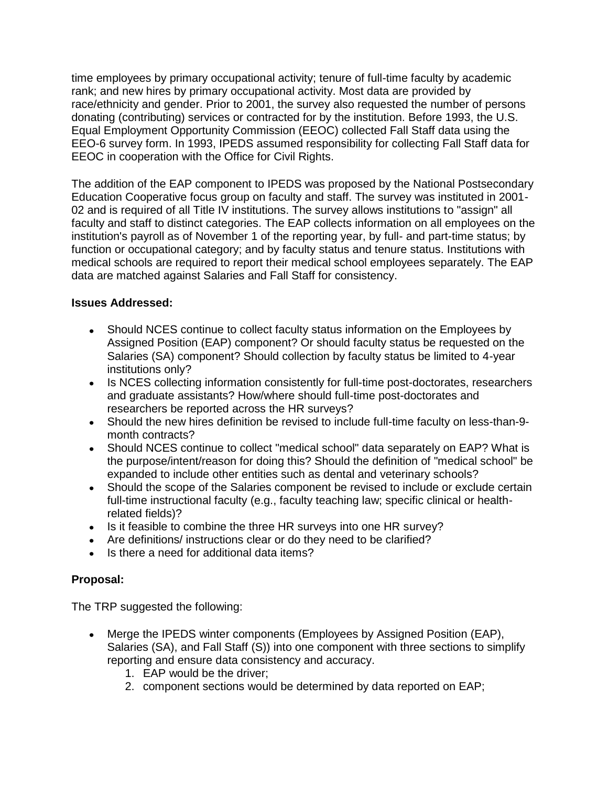time employees by primary occupational activity; tenure of full-time faculty by academic rank; and new hires by primary occupational activity. Most data are provided by race/ethnicity and gender. Prior to 2001, the survey also requested the number of persons donating (contributing) services or contracted for by the institution. Before 1993, the U.S. Equal Employment Opportunity Commission (EEOC) collected Fall Staff data using the EEO-6 survey form. In 1993, IPEDS assumed responsibility for collecting Fall Staff data for EEOC in cooperation with the Office for Civil Rights.

The addition of the EAP component to IPEDS was proposed by the National Postsecondary Education Cooperative focus group on faculty and staff. The survey was instituted in 2001- 02 and is required of all Title IV institutions. The survey allows institutions to "assign" all faculty and staff to distinct categories. The EAP collects information on all employees on the institution's payroll as of November 1 of the reporting year, by full- and part-time status; by function or occupational category; and by faculty status and tenure status. Institutions with medical schools are required to report their medical school employees separately. The EAP data are matched against Salaries and Fall Staff for consistency.

## **Issues Addressed:**

- Should NCES continue to collect faculty status information on the Employees by Assigned Position (EAP) component? Or should faculty status be requested on the Salaries (SA) component? Should collection by faculty status be limited to 4-year institutions only?
- Is NCES collecting information consistently for full-time post-doctorates, researchers and graduate assistants? How/where should full-time post-doctorates and researchers be reported across the HR surveys?
- Should the new hires definition be revised to include full-time faculty on less-than-9 month contracts?
- Should NCES continue to collect "medical school" data separately on EAP? What is the purpose/intent/reason for doing this? Should the definition of "medical school" be expanded to include other entities such as dental and veterinary schools?
- Should the scope of the Salaries component be revised to include or exclude certain full-time instructional faculty (e.g., faculty teaching law; specific clinical or healthrelated fields)?
- Is it feasible to combine the three HR surveys into one HR survey?
- Are definitions/ instructions clear or do they need to be clarified?
- Is there a need for additional data items?

# **Proposal:**

The TRP suggested the following:

- Merge the IPEDS winter components (Employees by Assigned Position (EAP), Salaries (SA), and Fall Staff (S)) into one component with three sections to simplify reporting and ensure data consistency and accuracy.
	- 1. EAP would be the driver;
	- 2. component sections would be determined by data reported on EAP;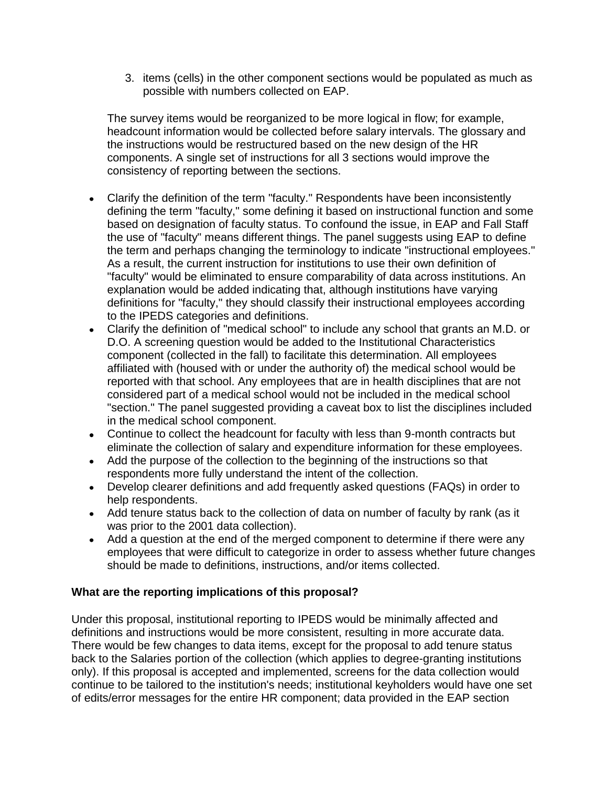3. items (cells) in the other component sections would be populated as much as possible with numbers collected on EAP.

The survey items would be reorganized to be more logical in flow; for example, headcount information would be collected before salary intervals. The glossary and the instructions would be restructured based on the new design of the HR components. A single set of instructions for all 3 sections would improve the consistency of reporting between the sections.

- Clarify the definition of the term "faculty." Respondents have been inconsistently defining the term "faculty," some defining it based on instructional function and some based on designation of faculty status. To confound the issue, in EAP and Fall Staff the use of "faculty" means different things. The panel suggests using EAP to define the term and perhaps changing the terminology to indicate "instructional employees." As a result, the current instruction for institutions to use their own definition of "faculty" would be eliminated to ensure comparability of data across institutions. An explanation would be added indicating that, although institutions have varying definitions for "faculty," they should classify their instructional employees according to the IPEDS categories and definitions.
- Clarify the definition of "medical school" to include any school that grants an M.D. or D.O. A screening question would be added to the Institutional Characteristics component (collected in the fall) to facilitate this determination. All employees affiliated with (housed with or under the authority of) the medical school would be reported with that school. Any employees that are in health disciplines that are not considered part of a medical school would not be included in the medical school "section." The panel suggested providing a caveat box to list the disciplines included in the medical school component.
- Continue to collect the headcount for faculty with less than 9-month contracts but eliminate the collection of salary and expenditure information for these employees.
- Add the purpose of the collection to the beginning of the instructions so that respondents more fully understand the intent of the collection.
- Develop clearer definitions and add frequently asked questions (FAQs) in order to help respondents.
- Add tenure status back to the collection of data on number of faculty by rank (as it was prior to the 2001 data collection).
- Add a question at the end of the merged component to determine if there were any employees that were difficult to categorize in order to assess whether future changes should be made to definitions, instructions, and/or items collected.

## **What are the reporting implications of this proposal?**

Under this proposal, institutional reporting to IPEDS would be minimally affected and definitions and instructions would be more consistent, resulting in more accurate data. There would be few changes to data items, except for the proposal to add tenure status back to the Salaries portion of the collection (which applies to degree-granting institutions only). If this proposal is accepted and implemented, screens for the data collection would continue to be tailored to the institution's needs; institutional keyholders would have one set of edits/error messages for the entire HR component; data provided in the EAP section